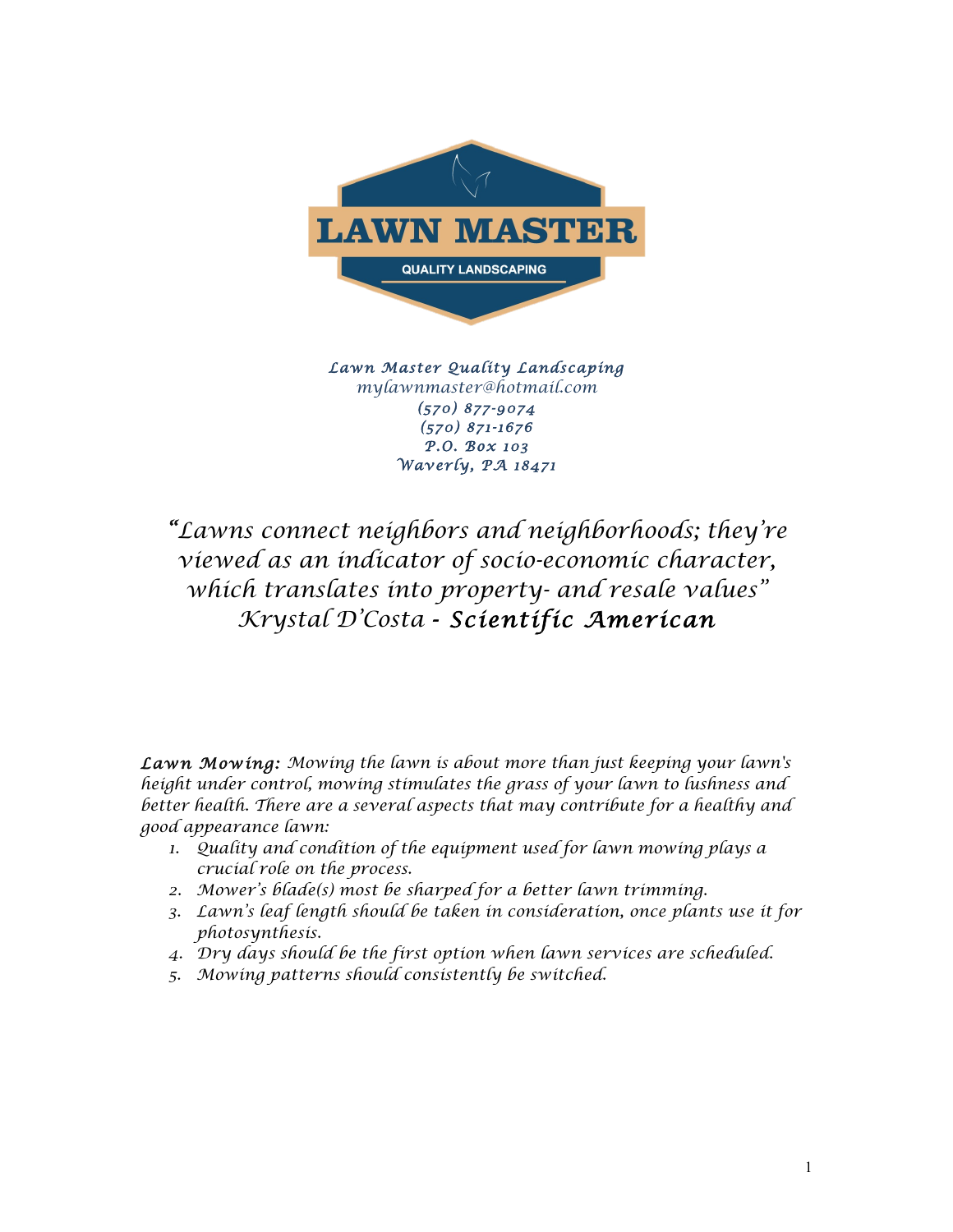

*Lawn Master Quality Landscaping mylawnmaster@hotmail.com (570) 877-9074 (570) 871-1676 P.O. Box 103 Waverly, PA 18471*

*"Lawns connect neighbors and neighborhoods; they're viewed as an indicator of socio-economic character, which translates into property- and resale values" Krystal D'Costa - Scientific American* 

*Lawn Mowing: Mowing the lawn is about more than just keeping your lawn's height under control, mowing stimulates the grass of your lawn to lushness and better health. There are a several aspects that may contribute for a healthy and good appearance lawn:*

- *1. Quality and condition of the equipment used for lawn mowing plays a crucial role on the process.*
- *2. Mower's blade(s) most be sharped for a better lawn trimming.*
- *3. Lawn's leaf length should be taken in consideration, once plants use it for photosynthesis.*
- *4. Dry days should be the first option when lawn services are scheduled.*
- *5. Mowing patterns should consistently be switched.*